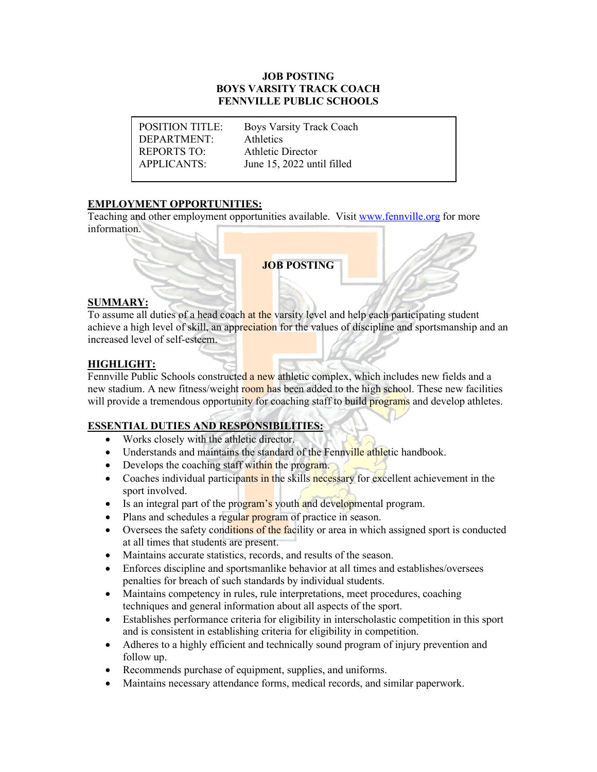### **JOB POSTING BOYS VARSITY TRACK COACH FENNVILLE PUBLIC SCHOOLS**

DEPARTMENT: Athletics REPORTS TO: Athletic Director

POSITION TITLE: Boys Varsity Track Coach APPLICANTS: June 15, 2022 until filled

# **EMPLOYMENT OPPORTUNITIES:**

Teaching and other employment opportunities available. Visit [www.fennville.org](https://www.fennville.org/domain/10) for more information.

**JOB POSTING**

## **SUMMARY:**

To assume all duties of a head coach at the varsity level and help each participating student achieve a high level of skill, an appreciation for the values of discipline and sportsmanship and an increased level of self-esteem.

# **HIGHLIGHT:**

Fennville Public Schools constructed a new athletic complex, which includes new fields and a new stadium. A new fitness/weight room has been added to the high school. These new facilities will provide a tremendous opportunity for coaching staff to build programs and develop athletes.

# **ESSENTIAL DUTIES AND RESPONSIBILITIES:**

- Works closely with the athletic director.
- Understands and maintains the standard of the Fennville athletic handbook.
- Develops the coaching staff within the program.
- Coaches individual participants in the skills necessary for excellent achievement in the sport involved.
- Is an integral part of the program's youth and developmental program.
- Plans and schedules a regular program of practice in season.
- Oversees the safety conditions of the facility or area in which assigned sport is conducted at all times that students are present.
- Maintains accurate statistics, records, and results of the season.
- Enforces discipline and sportsmanlike behavior at all times and establishes/oversees penalties for breach of such standards by individual students.
- Maintains competency in rules, rule interpretations, meet procedures, coaching techniques and general information about all aspects of the sport.
- Establishes performance criteria for eligibility in interscholastic competition in this sport and is consistent in establishing criteria for eligibility in competition.
- Adheres to a highly efficient and technically sound program of injury prevention and follow up.
- Recommends purchase of equipment, supplies, and uniforms.
- Maintains necessary attendance forms, medical records, and similar paperwork.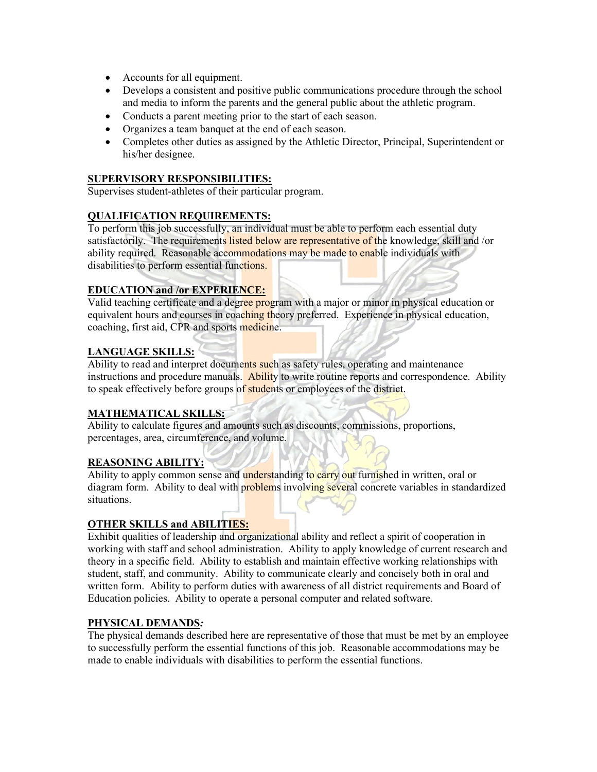- Accounts for all equipment.
- Develops a consistent and positive public communications procedure through the school and media to inform the parents and the general public about the athletic program.
- Conducts a parent meeting prior to the start of each season.
- Organizes a team banquet at the end of each season.
- Completes other duties as assigned by the Athletic Director, Principal, Superintendent or his/her designee.

# **SUPERVISORY RESPONSIBILITIES:**

Supervises student-athletes of their particular program.

#### **QUALIFICATION REQUIREMENTS:**

To perform this job successfully, an individual must be able to perform each essential duty satisfactorily. The requirements listed below are representative of the knowledge, skill and /or ability required. Reasonable accommodations may be made to enable individuals with disabilities to perform essential functions.

## **EDUCATION and /or EXPERIENCE:**

Valid teaching certificate and a degree program with a major or minor in physical education or equivalent hours and courses in coaching theory preferred. Experience in physical education, coaching, first aid, CPR and sports medicine.

## **LANGUAGE SKILLS:**

Ability to read and interpret documents such as safety rules, operating and maintenance instructions and procedure manuals. Ability to write routine reports and correspondence. Ability to speak effectively before groups of students or employees of the district.

## **MATHEMATICAL SKILLS:**

Ability to calculate figures and amounts such as discounts, commissions, proportions, percentages, area, circumference, and volume.

#### **REASONING ABILITY:**

Ability to apply common sense and understanding to carry out furnished in written, oral or diagram form. Ability to deal with problems involving several concrete variables in standardized situations.

#### **OTHER SKILLS and ABILITIES:**

Exhibit qualities of leadership and organizational ability and reflect a spirit of cooperation in working with staff and school administration. Ability to apply knowledge of current research and theory in a specific field. Ability to establish and maintain effective working relationships with student, staff, and community. Ability to communicate clearly and concisely both in oral and written form. Ability to perform duties with awareness of all district requirements and Board of Education policies. Ability to operate a personal computer and related software.

#### **PHYSICAL DEMANDS***:*

The physical demands described here are representative of those that must be met by an employee to successfully perform the essential functions of this job. Reasonable accommodations may be made to enable individuals with disabilities to perform the essential functions.